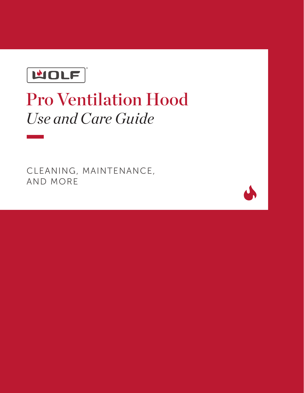**MOLF** 

# Pro Ventilation Hood *Use and Care Guide*

CLEANING, MAINTENANCE, AND MORE

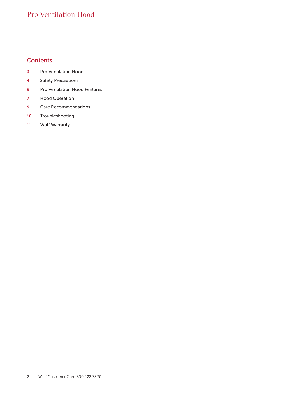# **Contents**

- Pro Ventilation Hood
- Safety Precautions
- Pro Ventilation Hood Features
- Hood Operation
- Care Recommendations
- Troubleshooting
- Wolf Warranty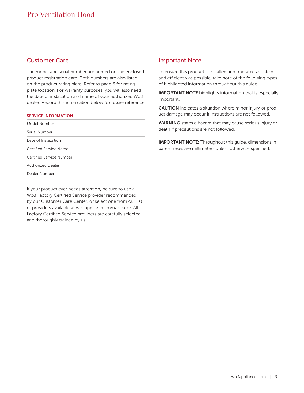# Customer Care

The model and serial number are printed on the enclosed product registration card. Both numbers are also listed on the product rating plate. Refer to page 6 for rating plate location. For warranty purposes, you will also need the date of installation and name of your authorized Wolf dealer. Record this information below for future reference.

#### SERVICE INFORMATION

| Model Number             |  |
|--------------------------|--|
| Serial Number            |  |
| Date of Installation     |  |
| Certified Service Name   |  |
| Certified Service Number |  |
| <b>Authorized Dealer</b> |  |
| Dealer Number            |  |

If your product ever needs attention, be sure to use a Wolf Factory Certified Service provider recommended by our Customer Care Center, or select one from our list of providers available at wolfappliance.com/locator. All Factory Certified Service providers are carefully selected and thoroughly trained by us.

# Important Note

To ensure this product is installed and operated as safely and efficiently as possible, take note of the following types of highlighted information throughout this guide:

IMPORTANT NOTE highlights information that is especially important.

CAUTION indicates a situation where minor injury or product damage may occur if instructions are not followed.

WARNING states a hazard that may cause serious injury or death if precautions are not followed.

IMPORTANT NOTE: Throughout this guide, dimensions in parentheses are millimeters unless otherwise specified.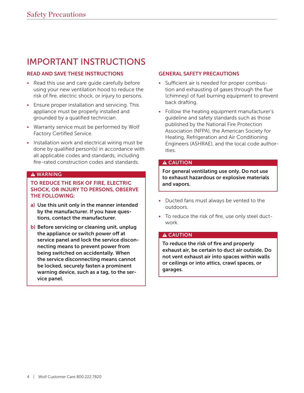# IMPORTANT INSTRUCTIONS

# READ AND SAVE THESE INSTRUCTIONS

- Read this use and care quide carefully before using your new ventilation hood to reduce the risk of fire, electric shock, or injury to persons.
- Ensure proper installation and servicing. This appliance must be properly installed and grounded by a qualified technician.
- Warranty service must be performed by Wolf Factory Certified Service.
- Installation work and electrical wiring must be done by qualified person(s) in accordance with all applicable codes and standards, including fire-rated construction codes and standards.

# **A WARNING**

TO REDUCE THE RISK OF FIRE, ELECTRIC SHOCK, OR INJURY TO PERSONS, OBSERVE THE FOLLOWING:

- a) Use this unit only in the manner intended by the manufacturer. If you have questions, contact the manufacturer.
- b) Before servicing or cleaning unit, unplug the appliance or switch power off at service panel and lock the service disconnecting means to prevent power from being switched on accidentally. When the service disconnecting means cannot be locked, securely fasten a prominent warning device, such as a tag, to the service panel.

# GENERAL SAFETY PRECAUTIONS

- Sufficient air is needed for proper combustion and exhausting of gases through the flue (chimney) of fuel burning equipment to prevent back drafting.
- Follow the heating equipment manufacturer's guideline and safety standards such as those published by the National Fire Protection Association (NFPA), the American Society for Heating, Refrigeration and Air Conditioning Engineers (ASHRAE), and the local code authorities.

# A CAUTION

For general ventilating use only. Do not use to exhaust hazardous or explosive materials and vapors.

- Ducted fans must always be vented to the outdoors.
- To reduce the risk of fire, use only steel ductwork.

# A CAUTION

To reduce the risk of fire and properly exhaust air, be certain to duct air outside. Do not vent exhaust air into spaces within walls or ceilings or into attics, crawl spaces, or garages.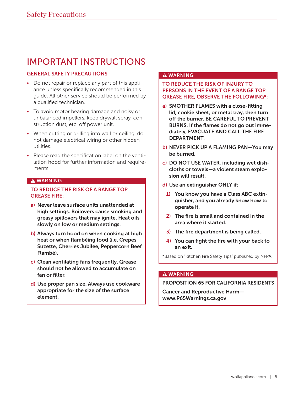# IMPORTANT INSTRUCTIONS

# GENERAL SAFETY PRECAUTIONS

- Do not repair or replace any part of this appliance unless specifically recommended in this guide. All other service should be performed by a qualified technician.
- To avoid motor bearing damage and noisy or unbalanced impellers, keep drywall spray, construction dust, etc. off power unit.
- When cutting or drilling into wall or ceiling, do not damage electrical wiring or other hidden utilities.
- Please read the specification label on the ventilation hood for further information and requirements.

### **A WARNING**

# TO REDUCE THE RISK OF A RANGE TOP GREASE FIRE:

- a) Never leave surface units unattended at high settings. Boilovers cause smoking and greasy spillovers that may ignite. Heat oils slowly on low or medium settings.
- b) Always turn hood on when cooking at high heat or when flambéing food (i.e. Crepes Suzette, Cherries Jubilee, Peppercorn Beef Flambé).
- c) Clean ventilating fans frequently. Grease should not be allowed to accumulate on fan or filter.
- d) Use proper pan size. Always use cookware appropriate for the size of the surface element.

# **A WARNING**

# TO REDUCE THE RISK OF INJURY TO PERSONS IN THE EVENT OF A RANGE TOP GREASE FIRE, OBSERVE THE FOLLOWING\*:

- a) SMOTHER FLAMES with a close-fitting lid, cookie sheet, or metal tray, then turn off the burner. BE CAREFUL TO PREVENT BURNS. If the flames do not go out immediately, EVACUATE AND CALL THE FIRE **DEPARTMENT**
- b) NEVER PICK UP A FLAMING PAN—You may be burned.
- c) DO NOT USE WATER, including wet dishcloths or towels—a violent steam explosion will result.
- d) Use an extinguisher ONLY if:
	- 1) You know you have a Class ABC extinguisher, and you already know how to operate it.
	- 2) The fire is small and contained in the area where it started.
	- 3) The fire department is being called.
	- 4) You can fight the fire with your back to an exit.

\*Based on "Kitchen Fire Safety Tips" published by NFPA.

#### **A WARNING**

PROPOSITION 65 FOR CALIFORNIA RESIDENTS

Cancer and Reproductive Harm www.P65Warnings.ca.gov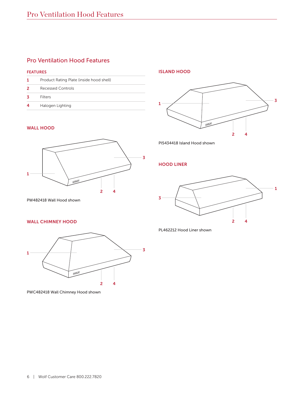# Pro Ventilation Hood Features

#### FEATURES

|   | Product Rating Plate (inside hood shell) |
|---|------------------------------------------|
| 2 | Recessed Controls                        |
|   | Filters                                  |
|   | Halogen Lighting                         |

#### WALL HOOD



PW482418 Wall Hood shown

# WALL CHIMNEY HOOD



PWC482418 Wall Chimney Hood shown

ISLAND HOOD



PI5434418 Island Hood shown

HOOD LINER



PL462212 Hood Liner shown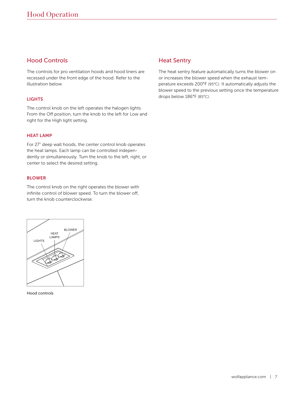# Hood Controls

The controls for pro ventilation hoods and hood liners are recessed under the front edge of the hood. Refer to the illustration below.

# **LIGHTS**

The control knob on the left operates the halogen lights. From the Off position, turn the knob to the left for Low and right for the High light setting.

#### **HFAT LAMP**

For 27" deep wall hoods, the center control knob operates the heat lamps. Each lamp can be controlled independently or simultaneously. Turn the knob to the left, right, or center to select the desired setting.

#### BLOWER

The control knob on the right operates the blower with infinite control of blower speed. To turn the blower off, turn the knob counterclockwise.



Hood controls

# Heat Sentry

The heat sentry feature automatically turns the blower on or increases the blower speed when the exhaust temperature exceeds 200°F (95°C). It automatically adjusts the blower speed to the previous setting once the temperature drops below 186°F (85°C).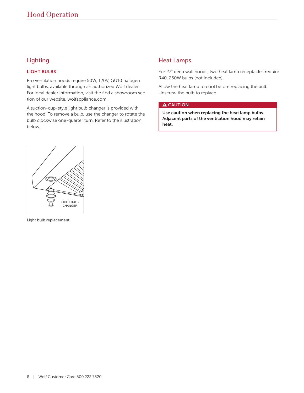# Lighting

# LIGHT BULBS

Pro ventilation hoods require 50W, 120V, GU10 halogen light bulbs, available through an authorized Wolf dealer. For local dealer information, visit the find a showroom section of our website, wolfappliance.com.

A suction-cup-style light bulb changer is provided with the hood. To remove a bulb, use the changer to rotate the bulb clockwise one-quarter turn. Refer to the illustration below.

# Heat Lamps

For 27" deep wall hoods, two heat lamp receptacles require R40, 250W bulbs (not included).

Allow the heat lamp to cool before replacing the bulb. Unscrew the bulb to replace.

### **A** CAUTION

Use caution when replacing the heat lamp bulbs. Adjacent parts of the ventilation hood may retain heat.



Light bulb replacement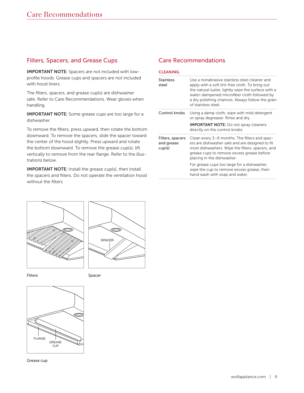# Filters, Spacers, and Grease Cups

IMPORTANT NOTE: Spacers are not included with lowprofile hoods. Grease cups and spacers are not included with hood liners.

The filters, spacers, and grease cup(s) are dishwasher safe. Refer to Care Recommendations. Wear gloves when handling.

IMPORTANT NOTE: Some grease cups are too large for a dishwasher.

To remove the filters, press upward, then rotate the bottom downward. To remove the spacers, slide the spacer toward the center of the hood slightly. Press upward and rotate the bottom downward. To remove the grease cup(s), lift vertically to remove from the rear flange. Refer to the illustrations below.

IMPORTANT NOTE: Install the grease cup(s), then install the spacers and filters. Do not operate the ventilation hood without the filters.

# Care Recommendations

| <b>CLEANING</b>                          |                                                                                                                                                                                                                                                                                   |
|------------------------------------------|-----------------------------------------------------------------------------------------------------------------------------------------------------------------------------------------------------------------------------------------------------------------------------------|
| <b>Stainless</b><br>steel                | Use a nonabrasive stainless steel cleaner and<br>apply with a soft lint-free cloth. To bring out<br>the natural luster, lightly wipe the surface with a<br>water-dampened microfiber cloth followed by<br>a dry polishing chamois. Always follow the grain<br>of stainless steel. |
| Control knobs                            | Using a damp cloth, wipe with mild detergent<br>or spray degreaser. Rinse and dry.<br><b>IMPORTANT NOTE:</b> Do not spray cleaners<br>directly on the control knobs.                                                                                                              |
| Filters, spacers<br>and grease<br>cup(s) | Clean every 3–6 months. The filters and spac-<br>ers are dishwasher safe and are designed to fit<br>most dishwashers. Wipe the filters, spacers, and<br>grease cups to remove excess grease before<br>placing in the dishwasher.                                                  |
|                                          | For grease cups too large for a dishwasher,<br>wipe the cup to remove excess grease, then<br>hand wash with soap and water.                                                                                                                                                       |





Filters Spacer



Grease cup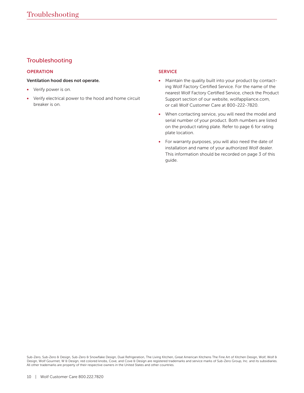# Troubleshooting

#### **OPERATION**

#### Ventilation hood does not operate.

- Verify power is on.
- Verify electrical power to the hood and home circuit breaker is on.

## SERVICE

- Maintain the quality built into your product by contacting Wolf Factory Certified Service. For the name of the nearest Wolf Factory Certified Service, check the Product Support section of our website, wolfappliance.com, or call Wolf Customer Care at 800-222-7820.
- When contacting service, you will need the model and serial number of your product. Both numbers are listed on the product rating plate. Refer to page 6 for rating plate location.
- For warranty purposes, you will also need the date of installation and name of your authorized Wolf dealer. This information should be recorded on page 3 of this guide.

Sub-Zero, Sub-Zero & Design, Sub-Zero & Snowflake Design, Dual Refrigeration, The Living Kitchen, Great American Kitchens The Fine Art of Kitchen Design, Wolf, Wolf & Design, Wolf Gourmet, W & Design, red colored knobs, Cove, and Cove & Design are registered trademarks and service marks of Sub-Zero Group, Inc. and its subsidiaries. All other trademarks are property of their respective owners in the United States and other countries.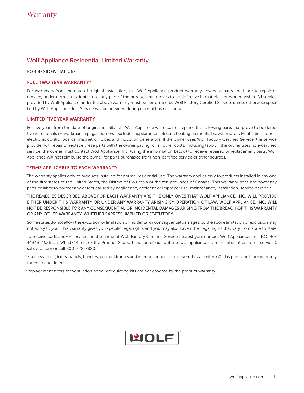# Wolf Appliance Residential Limited Warranty

#### FOR RESIDENTIAL USE

#### FULL TWO YEAR WARRANTY\*

For two years from the date of original installation, this Wolf Appliance product warranty covers all parts and labor to repair or replace, under normal residential use, any part of the product that proves to be defective in materials or workmanship. All service provided by Wolf Appliance under the above warranty must be performed by Wolf Factory Certified Service, unless otherwise specified by Wolf Appliance, Inc. Service will be provided during normal business hours.

#### LIMITED FIVE YEAR WARRANTY

For five years from the date of original installation, Wolf Appliance will repair or replace the following parts that prove to be defective in materials or workmanship: gas burners (excludes appearance), electric heating elements, blower motors (ventilation hoods), electronic control boards, magnetron tubes and induction generators. If the owner uses Wolf Factory Certified Service, the service provider will repair or replace these parts with the owner paying for all other costs, including labor. If the owner uses non-certified service, the owner must contact Wolf Appliance, Inc. (using the information below) to receive repaired or replacement parts. Wolf Appliance will not reimburse the owner for parts purchased from non-certified service or other sources.

#### TERMS APPLICABLE TO EACH WARRANTY

The warranty applies only to products installed for normal residential use. The warranty applies only to products installed in any one of the fifty states of the United States, the District of Columbia or the ten provinces of Canada. This warranty does not cover any parts or labor to correct any defect caused by negligence, accident or improper use, maintenance, installation, service or repair.

THE REMEDIES DESCRIBED ABOVE FOR EACH WARRANTY ARE THE ONLY ONES THAT WOLF APPLIANCE, INC. WILL PROVIDE, EITHER UNDER THIS WARRANTY OR UNDER ANY WARRANTY ARISING BY OPERATION OF LAW. WOLF APPLIANCE, INC. WILL NOT BE RESPONSIBLE FOR ANY CONSEQUENTIAL OR INCIDENTAL DAMAGES ARISING FROM THE BREACH OF THIS WARRANTY OR ANY OTHER WARRANTY, WHETHER EXPRESS, IMPLIED OR STATUTORY.

Some states do not allow the exclusion or limitation of incidental or consequential damages, so the above limitation or exclusion may not apply to you. This warranty gives you specific legal rights and you may also have other legal rights that vary from state to state.

To receive parts and/or service and the name of Wolf Factory Certified Service nearest you, contact Wolf Appliance, Inc., P.O. Box 44848, Madison, WI 53744; check the Product Support section of our website, wolfappliance.com, email us at customerservice@ subzero.com or call 800-222-7820.

\*Stainless steel (doors, panels, handles, product frames and interior surfaces) are covered by a limited 60-day parts and labor warranty for cosmetic defects.

\*Replacement filters for ventilation hood recirculating kits are not covered by the product warranty.

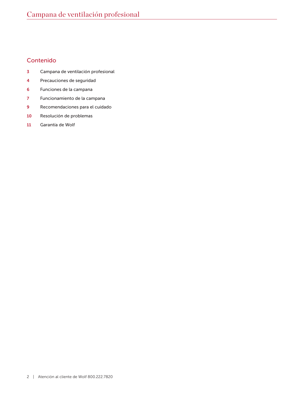# Contenido

- Campana de ventilación profesional
- Precauciones de seguridad
- Funciones de la campana
- Funcionamiento de la campana
- Recomendaciones para el cuidado
- Resolución de problemas
- Garantía de Wolf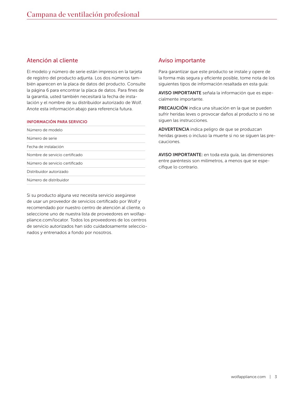# Atención al cliente

El modelo y número de serie están impresos en la tarjeta de registro del producto adjunta. Los dos números también aparecen en la placa de datos del producto. Consulte la página 6 para encontrar la placa de datos. Para fines de la garantía, usted también necesitará la fecha de instalación y el nombre de su distribuidor autorizado de Wolf. Anote esta información abajo para referencia futura.

#### INFORMACIÓN PARA SERVICIO

| Número de modelo               |  |
|--------------------------------|--|
| Número de serie                |  |
| Fecha de instalación           |  |
| Nombre de servicio certificado |  |
| Número de servicio certificado |  |
| Distribuidor autorizado        |  |
| Número de distribuidor         |  |

Si su producto alguna vez necesita servicio asegúrese de usar un proveedor de servicios certificado por Wolf y recomendado por nuestro centro de atención al cliente, o seleccione uno de nuestra lista de proveedores en wolfappliance.com/locator. Todos los proveedores de los centros de servicio autorizados han sido cuidadosamente seleccionados y entrenados a fondo por nosotros.

# Aviso importante

Para garantizar que este producto se instale y opere de la forma más segura y eficiente posible, tome nota de los siguientes tipos de información resaltada en esta guía:

AVISO IMPORTANTE señala la información que es especialmente importante.

PRECAUCIÓN indica una situación en la que se pueden sufrir heridas leves o provocar daños al producto si no se siguen las instrucciones.

ADVERTENCIA indica peligro de que se produzcan heridas graves o incluso la muerte si no se siguen las precauciones.

AVISO IMPORTANTE: en toda esta guía, las dimensiones entre paréntesis son milímetros, a menos que se especifique lo contrario.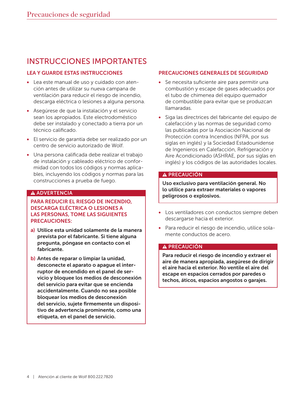# INSTRUCCIONES IMPORTANTES

# LEA Y GUARDE ESTAS INSTRUCCIONES

- Lea este manual de uso y cuidado con atención antes de utilizar su nueva campana de ventilación para reducir el riesgo de incendio, descarga eléctrica o lesiones a alguna persona.
- Asegúrese de que la instalación y el servicio sean los apropiados. Este electrodoméstico debe ser instalado y conectado a tierra por un técnico calificado.
- El servicio de garantía debe ser realizado por un centro de servicio autorizado de Wolf.
- Una persona calificada debe realizar el trabajo de instalación y cableado eléctrico de conformidad con todos los códigos y normas aplicables, incluyendo los códigos y normas para las construcciones a prueba de fuego.

### **A ADVERTENCIA**

# PARA REDUCIR EL RIESGO DE INCENDIO, DESCARGA ELÉCTRICA O LESIONES A LAS PERSONAS, TOME LAS SIGUIENTES PRECAUCIONES:

- a) Utilice esta unidad solamente de la manera prevista por el fabricante. Si tiene alguna pregunta, póngase en contacto con el fabricante.
- b) Antes de reparar o limpiar la unidad, desconecte el aparato o apague el interruptor de encendido en el panel de servicio y bloquee los medios de desconexión del servicio para evitar que se encienda accidentalmente. Cuando no sea posible bloquear los medios de desconexión del servicio, sujete firmemente un dispositivo de advertencia prominente, como una etiqueta, en el panel de servicio.

# PRECAUCIONES GENERALES DE SEGURIDAD

- Se necesita suficiente aire para permitir una combustión y escape de gases adecuados por el tubo de chimenea del equipo quemador de combustible para evitar que se produzcan llamaradas.
- Siga las directrices del fabricante del equipo de calefacción y las normas de seguridad como las publicadas por la Asociación Nacional de Protección contra Incendios (NFPA, por sus siglas en inglés) y la Sociedad Estadounidense de Ingenieros en Calefacción, Refrigeración y Aire Acondicionado (ASHRAE, por sus siglas en inglés) y los códigos de las autoridades locales.

# A PRECAUCIÓN

Uso exclusivo para ventilación general. No lo utilice para extraer materiales o vapores peligrosos o explosivos.

- Los ventiladores con conductos siempre deben descargarse hacia el exterior.
- Para reducir el riesgo de incendio, utilice solamente conductos de acero.

# A PRECAUCIÓN

Para reducir el riesgo de incendio y extraer el aire de manera apropiada, asegúrese de dirigir el aire hacia el exterior. No ventile el aire del escape en espacios cerrados por paredes o techos, áticos, espacios angostos o garajes.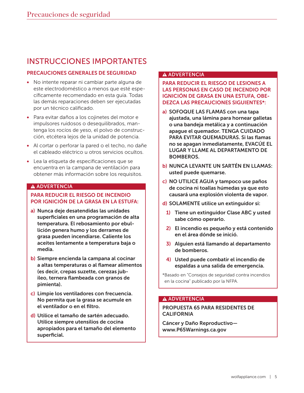# INSTRUCCIONES IMPORTANTES

# PRECAUCIONES GENERALES DE SEGURIDAD

- No intente reparar ni cambiar parte alguna de este electrodoméstico a menos que esté específicamente recomendado en esta guía. Todas las demás reparaciones deben ser ejecutadas por un técnico calificado.
- Para evitar daños a los cojinetes del motor e impulsores ruidosos o desequilibrados, mantenga los rocíos de yeso, el polvo de construcción, etcétera lejos de la unidad de potencia.
- Al cortar o perforar la pared o el techo, no dañe el cableado eléctrico u otros servicios ocultos.
- Lea la etiqueta de especificaciones que se encuentra en la campana de ventilación para obtener más información sobre los requisitos.

# **A ADVERTENCIA**

# PARA REDUCIR EL RIESGO DE INCENDIO POR IGNICIÓN DE LA GRASA EN LA ESTUFA:

- a) Nunca deje desatendidas las unidades superficiales en una programación de alta temperatura. El rebosamiento por ebullición genera humo y los derrames de grasa pueden incendiarse. Caliente los aceites lentamente a temperatura baja o media.
- b) Siempre encienda la campana al cocinar a altas temperaturas o al flamear alimentos (es decir, crepas suzette, cerezas jubileo, ternera flambeada con granos de pimienta).
- c) Limpie los ventiladores con frecuencia. No permita que la grasa se acumule en el ventilador o en el filtro.
- d) Utilice el tamaño de sartén adecuado. Utilice siempre utensilios de cocina apropiados para el tamaño del elemento superficial.

# **A ADVERTENCIA**

# PARA REDUCIR EL RIESGO DE LESIONES A LAS PERSONAS EN CASO DE INCENDIO POR IGNICIÓN DE GRASA EN UNA ESTUFA, OBE-DEZCA LAS PRECAUCIONES SIGUIENTES\*:

- a) SOFOQUE LAS FLAMAS con una tapa ajustada, una lámina para hornear galletas o una bandeja metálica y a continuación apague el quemador. TENGA CUIDADO PARA EVITAR QUEMADURAS. Si las flamas no se apagan inmediatamente, EVACÚE EL LUGAR Y LLAME AL DEPARTAMENTO DE BOMBEROS.
- b) NUNCA LEVANTE UN SARTÉN EN LLAMAS: usted puede quemarse.
- c) NO UTILICE AGUA y tampoco use paños de cocina ni toallas húmedas ya que esto causará una explosión violenta de vapor.
- d) SOLAMENTE utilice un extinguidor si:
	- 1) Tiene un extinguidor Clase ABC y usted sabe cómo operarlo.
	- 2) El incendio es pequeño y está contenido en el área dónde se inició.
	- 3) Alguien está llamando al departamento de bomberos.
	- 4) Usted puede combatir el incendio de espaldas a una salida de emergencia.

\*Basado en "Consejos de seguridad contra incendios en la cocina" publicado por la NFPA.

# **A ADVERTENCIA**

# PROPUESTA 65 PARA RESIDENTES DE **CALIFORNIA**

Cáncer y Daño Reproductivo www.P65Warnings.ca.gov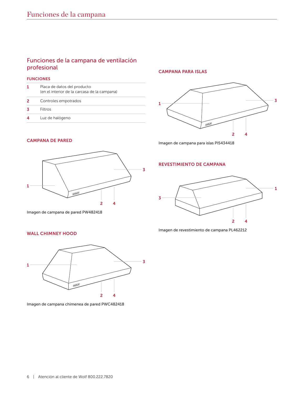# Funciones de la campana de ventilación profesional

#### FUNCIONES

# CAMPANA PARA ISLAS



Imagen de campana para islas PI5434418

#### CAMPANA DE PARED



Imagen de campana de pared PW482418

#### WALL CHIMNEY HOOD



Imagen de campana chimenea de pared PWC482418

#### REVESTIMIENTO DE CAMPANA



Imagen de revestimiento de campana PL462212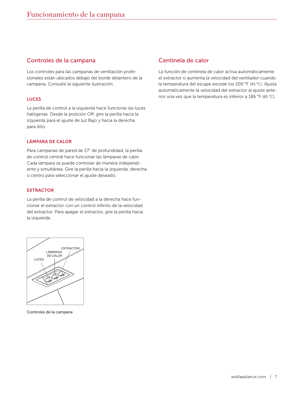# Controles de la campana

Los controles para las campanas de ventilación profesionales están ubicados debajo del borde delantero de la campana. Consulte la siguiente ilustración.

#### LUCES

La perilla de control a la izquierda hace funcionar las luces halógenas. Desde la posición Off, gire la perilla hacia la izquierda para el ajuste de luz Bajo y hacia la derecha para Alto.

#### LÁMPARA DE CALOR

Para campanas de pared de 27" de profundidad, la perilla de control central hace funcionar las lámparas de calor. Cada lámpara se puede controlar de manera independiente y simultánea. Gire la perilla hacia la izquierda, derecha o centro para seleccionar el ajuste deseado.

#### EXTRACTOR

La perilla de control de velocidad a la derecha hace funcionar el extractor con un control infinito de la velocidad del extractor. Para apagar el extractor, gire la perilla hacia la izquierda.



Controles de la campana

# Centinela de calor

La función de centinela de calor activa automáticamente el extractor o aumenta la velocidad del ventilador cuando la temperatura del escape excede los 200 °F (95 °C). Ajusta automáticamente la velocidad del extractor al ajuste anterior una vez que la temperatura es inferior a 186 °F (85 °C).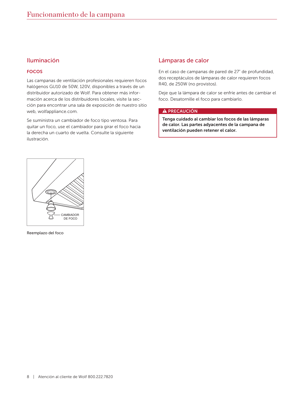# Iluminación

## FOCOS

Las campanas de ventilación profesionales requieren focos halógenos GU10 de 50W, 120V, disponibles a través de un distribuidor autorizado de Wolf. Para obtener más información acerca de los distribuidores locales, visite la sección para encontrar una sala de exposición de nuestro sitio web, wolfappliance.com.

Se suministra un cambiador de foco tipo ventosa. Para quitar un foco, use el cambiador para girar el foco hacia la derecha un cuarto de vuelta. Consulte la siguiente ilustración.

# Lámparas de calor

En el caso de campanas de pared de 27" de profundidad, dos receptáculos de lámparas de calor requieren focos R40, de 250W (no provistos).

Deje que la lámpara de calor se enfríe antes de cambiar el foco. Desatornille el foco para cambiarlo.

#### A PRECAUCIÓN

Tenga cuidado al cambiar los focos de las lámparas de calor. Las partes adyacentes de la campana de ventilación pueden retener el calor.



Reemplazo del foco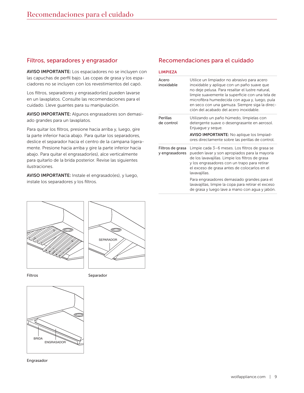# Filtros, separadores y engrasador

AVISO IMPORTANTE: Los espaciadores no se incluyen con las capuchas de perfil bajo. Las copas de grasa y los espaciadores no se incluyen con los revestimientos del capó.

Los filtros, separadores y engrasador(es) pueden lavarse en un lavaplatos. Consulte las recomendaciones para el cuidado. Lleve guantes para su manipulación.

AVISO IMPORTANTE: Algunos engrasadores son demasiado grandes para un lavaplatos.

Para quitar los filtros, presione hacia arriba y, luego, gire la parte inferior hacia abajo. Para quitar los separadores, deslice el separador hacia el centro de la campana ligeramente. Presione hacia arriba y gire la parte inferior hacia abajo. Para quitar el engrasador(es), alce verticalmente para quitarlo de la brida posterior. Revise las siguientes ilustraciones.

AVISO IMPORTANTE: Instale el engrasado(es), y luego, instale los separadores y los filtros.

# UM<br>Kalendar



Filtros **Separador** 



Engrasador

# Recomendaciones para el cuidado

| <b>LIMPIEZA</b>                    |                                                                                                                                                                                                                                                                                                                                               |
|------------------------------------|-----------------------------------------------------------------------------------------------------------------------------------------------------------------------------------------------------------------------------------------------------------------------------------------------------------------------------------------------|
| Acero<br>inoxidable                | Utilice un limpiador no abrasivo para acero<br>inoxidable y aplique con un paño suave que<br>no deje pelusa. Para resaltar el lustre natural,<br>limpie suavemente la superficie con una tela de<br>microfibra humedecida con agua y, luego, pula<br>en seco con una gamuza. Siempre siga la direc-<br>ción del acabado del acero inoxidable. |
| Perillas<br>de control             | Utilizando un paño húmedo, límpielas con<br>detergente suave o desengrasante en aerosol.<br>Enjuague y seque.<br><b>AVISO IMPORTANTE:</b> No aplique los limpiad-<br>ores directamente sobre las perillas de control.                                                                                                                         |
| Filtros de grasa<br>y engrasadores | Limpie cada 3–6 meses. Los filtros de grasa se<br>pueden lavar y son apropiados para la mayoría<br>de los lavavajillas. Limpie los filtros de grasa<br>y los engrasadores con un trapo para retirar<br>el exceso de grasa antes de colocarlos en el<br>lavavajillas.                                                                          |
|                                    | Para engrasadores demasiado grandes para el<br>lavavajillas, limpie la copa para retirar el exceso<br>de grasa y luego lave a mano con agua y jabón.                                                                                                                                                                                          |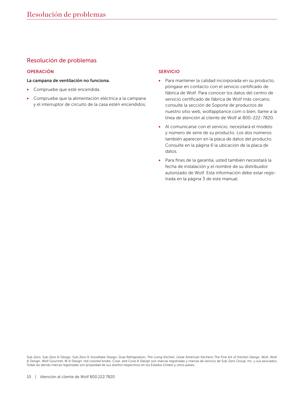# Resolución de problemas

#### OPERACIÓN

#### La campana de ventilación no funciona.

- Compruebe que esté encendida.
- Compruebe que la alimentación eléctrica a la campana y el interruptor de circuito de la casa estén encendidos.

#### SERVICIO

- Para mantener la calidad incorporada en su producto, póngase en contacto con el servicio certificado de fábrica de Wolf. Para conocer los datos del centro de servicio certificado de fábrica de Wolf más cercano, consulte la sección de Soporte de productos de nuestro sitio web, wolfappliance.com o bien, llame a la línea de atención al cliente de Wolf al 800-222-7820.
- Al comunicarse con el servicio, necesitará el modelo y número de serie de su producto. Los dos números también aparecen en la placa de datos del producto. Consulte en la página 6 la ubicación de la placa de datos.
- Para fines de la garantía, usted también necesitará la fecha de instalación y el nombre de su distribuidor autorizado de Wolf. Esta información debe estar registrada en la página 3 de este manual.

Sub-Zero, Sub-Zero & Design, Sub-Zero & Snowflake Design, Dual Refrigeration, The Living Kitchen, Great American Kitchens The Fine Art of Kitchen Design, Wolf, Wolf & Design, Wolf Gourmet, W & Design, red colored knobs, Cove, and Cove & Design son marcas registradas y marcas de servicio de Sub-Zero Group, Inc. y sus asociados. Todas las demás marcas registradas son propiedad de sus dueños respectivos en los Estados Unidos y otros países.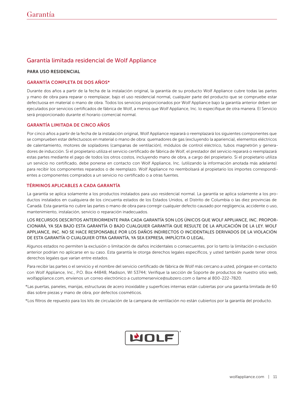# Garantía limitada residencial de Wolf Appliance

#### PARA USO RESIDENCIAL

#### GARANTÍA COMPLETA DE DOS AÑOS\*

Durante dos años a partir de la fecha de la instalación original, la garantía de su producto Wolf Appliance cubre todas las partes y mano de obra para reparar o reemplazar, bajo el uso residencial normal, cualquier parte del producto que se compruebe estar defectuosa en material o mano de obra. Todos los servicios proporcionados por Wolf Appliance bajo la garantía anterior deben ser ejecutados por servicios certificados de fábrica de Wolf, a menos que Wolf Appliance, Inc. lo especifique de otra manera. El Servicio será proporcionado durante el horario comercial normal.

#### GARANTÍA LIMITADA DE CINCO AÑOS

Por cinco años a partir de la fecha de la instalación original, Wolf Appliance reparará o reemplazará los siguientes componentes que se comprueben estar defectuosos en material o mano de obra: quemadores de gas (excluyendo la apariencia), elementos eléctricos de calentamiento, motores de sopladores (campanas de ventilación), módulos de control eléctrico, tubos magnetrón y generadores de inducción. Si el propietario utiliza el servicio certificado de fábrica de Wolf, el prestador del servicio reparará o reemplazará estas partes mediante el pago de todos los otros costos, incluyendo mano de obra, a cargo del propietario. Si el propietario utiliza un servicio no certificado, debe ponerse en contacto con Wolf Appliance, Inc. (utilizando la información anotada más adelante) para recibir los componentes reparados o de reemplazo. Wolf Appliance no reembolsará al propietario los importes correspondientes a componentes comprados a un servicio no certificado o a otras fuentes.

#### TÉRMINOS APLICABLES A CADA GARANTÍA

La garantía se aplica solamente a los productos instalados para uso residencial normal. La garantía se aplica solamente a los productos instalados en cualquiera de los cincuenta estados de los Estados Unidos, el Distrito de Columbia o las diez provincias de Canadá. Esta garantía no cubre las partes o mano de obra para corregir cualquier defecto causado por negligencia, accidente o uso, mantenimiento, instalación, servicio o reparación inadecuados.

LOS RECURSOS DESCRITOS ANTERIORMENTE PARA CADA GARANTÍA SON LOS ÚNICOS QUE WOLF APPLIANCE, INC. PROPOR-CIONARÁ, YA SEA BAJO ESTA GARANTÍA O BAJO CUALQUIER GARANTÍA QUE RESULTE DE LA APLICACIÓN DE LA LEY. WOLF APPLIANCE, INC. NO SE HACE RESPONSABLE POR LOS DAÑOS INDIRECTOS O INCIDENTALES DERIVADOS DE LA VIOLACIÓN DE ESTA GARANTÍA O CUALQUIER OTRA GARANTÍA, YA SEA EXPRESA, IMPLÍCITA O LEGAL.

Algunos estados no permiten la exclusión o limitación de daños incidentales o consecuentes, por lo tanto la limitación o exclusión anterior podrían no aplicarse en su caso. Esta garantía le otorga derechos legales específicos, y usted también puede tener otros derechos legales que varían entre estados.

Para recibir las partes o el servicio y el nombre del servicio certificado de fábrica de Wolf más cercano a usted, póngase en contacto con Wolf Appliance, Inc., P.O. Box 44848, Madison, WI 53744; Verifique la sección de Soporte de productos de nuestro sitio web, wolfappliance.com, envíenos un correo electrónico a customerservice@subzero.com o llame al 800-222-7820.

\*Las puertas, paneles, manijas, estructuras de acero inoxidable y superficies internas están cubiertas por una garantía limitada de 60 días sobre piezas y mano de obra, por defectos cosméticos.

\*Los filtros de repuesto para los kits de circulación de la campana de ventilación no están cubiertos por la garantía del producto.

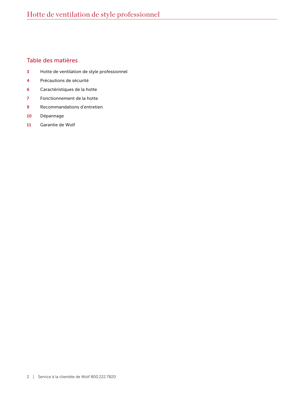# Table des matières

- Hotte de ventilation de style professionnel
- Précautions de sécurité
- Caractéristiques de la hotte
- Fonctionnement de la hotte
- Recommandations d'entretien
- Dépannage
- Garantie de Wolf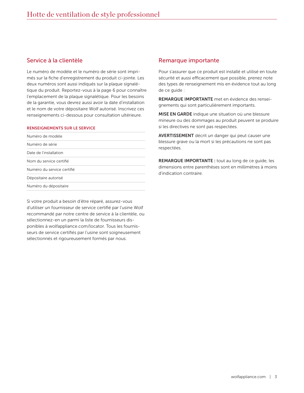# Service à la clientèle

Le numéro de modèle et le numéro de série sont imprimés sur la fiche d'enregistrement du produit ci-jointe. Les deux numéros sont aussi indiqués sur la plaque signalétique du produit. Reportez-vous à la page 6 pour connaître l'emplacement de la plaque signalétique. Pour les besoins de la garantie, vous devrez aussi avoir la date d'installation et le nom de votre dépositaire Wolf autorisé. Inscrivez ces renseignements ci-dessous pour consultation ultérieure.

#### RENSEIGNEMENTS SUR LE SERVICE

| Numéro de modèle           |  |
|----------------------------|--|
| Numéro de série            |  |
| Date de l'installation     |  |
| Nom du service certifié    |  |
| Numéro du service certifié |  |
| Dépositaire autorisé       |  |
| Numéro du dépositaire      |  |

Si votre produit a besoin d'être réparé, assurez-vous d'utiliser un fournisseur de service certifié par l'usine Wolf recommandé par notre centre de service à la clientèle, ou sélectionnez-en un parmi la liste de fournisseurs disponibles à wolfappliance.com/locator. Tous les fournisseurs de service certifiés par l'usine sont soigneusement sélectionnés et rigoureusement formés par nous.

# Remarque importante

Pour s'assurer que ce produit est installé et utilisé en toute sécurité et aussi efficacement que possible, prenez note des types de renseignement mis en évidence tout au long de ce guide :

REMARQUE IMPORTANTE met en évidence des renseignements qui sont particulièrement importants.

MISE EN GARDE indique une situation où une blessure mineure ou des dommages au produit peuvent se produire si les directives ne sont pas respectées.

AVERTISSEMENT décrit un danger qui peut causer une blessure grave ou la mort si les précautions ne sont pas respectées.

REMARQUE IMPORTANTE : tout au long de ce guide, les dimensions entre parenthèses sont en millimètres à moins d'indication contraire.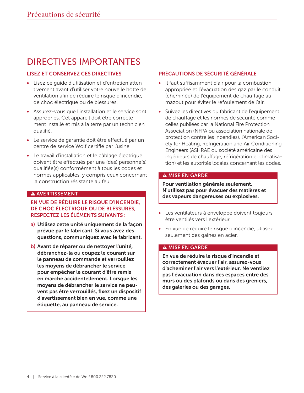# DIRECTIVES IMPORTANTES

# LISEZ ET CONSERVEZ CES DIRECTIVES

- Lisez ce guide d'utilisation et d'entretien attentivement avant d'utiliser votre nouvelle hotte de ventilation afin de réduire le risque d'incendie, de choc électrique ou de blessures.
- Assurez-vous que l'installation et le service sont appropriés. Cet appareil doit être correctement installé et mis à la terre par un technicien qualifié.
- Le service de garantie doit être effectué par un centre de service Wolf certifié par l'usine.
- Le travail d'installation et le câblage électrique doivent être effectués par une (des) personne(s) qualifiée(s) conformément à tous les codes et normes applicables, y compris ceux concernant la construction résistante au feu.

# A AVERTISSEMENT

# EN VUE DE RÉDUIRE LE RISQUE D'INCENDIE, DE CHOC ÉLECTRIQUE OU DE BLESSURES, RESPECTEZ LES ÉLÉMENTS SUIVANTS :

- a) Utilisez cette unité uniquement de la façon prévue par le fabricant. Si vous avez des questions, communiquez avec le fabricant.
- b) Avant de réparer ou de nettoyer l'unité, débranchez-la ou coupez le courant sur le panneau de commande et verrouillez les moyens de débrancher le service pour empêcher le courant d'être remis en marche accidentellement. Lorsque les moyens de débrancher le service ne peuvent pas être verrouillés, fixez un dispositif d'avertissement bien en vue, comme une étiquette, au panneau de service.

# PRÉCAUTIONS DE SÉCURITÉ GÉNÉRALE

- Il faut suffisamment d'air pour la combustion appropriée et l'évacuation des gaz par le conduit (cheminée) de l'équipement de chauffage au mazout pour éviter le refoulement de l'air.
- Suivez les directives du fabricant de l'équipement de chauffage et les normes de sécurité comme celles publiées par la National Fire Protection Association (NFPA ou association nationale de protection contre les incendies), l'American Society for Heating, Refrigeration and Air Conditioning Engineers (ASHRAE ou société américaine des ingénieurs de chauffage, réfrigération et climatisation) et les autorités locales concernant les codes.

# **A MISE EN GARDE**

Pour ventilation générale seulement. N'utilisez pas pour évacuer des matières et des vapeurs dangereuses ou explosives.

- Les ventilateurs à enveloppe doivent toujours être ventilés vers l'extérieur.
- En vue de réduire le risque d'incendie, utilisez seulement des gaines en acier.

# A MISE EN GARDE

En vue de réduire le risque d'incendie et correctement évacuer l'air, assurez-vous d'acheminer l'air vers l'extérieur. Ne ventilez pas l'évacuation dans des espaces entre des murs ou des plafonds ou dans des greniers, des galeries ou des garages.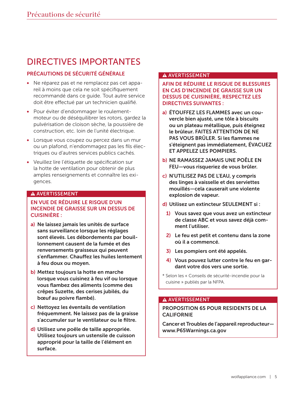# DIRECTIVES IMPORTANTES

# PRÉCAUTIONS DE SÉCURITÉ GÉNÉRALE

- Ne réparez pas et ne remplacez pas cet appareil à moins que cela ne soit spécifiquement recommandé dans ce guide. Tout autre service doit être effectué par un technicien qualifié.
- Pour éviter d'endommager le roulementmoteur ou de déséquilibrer les rotors, gardez la pulvérisation de cloison sèche, la poussière de construction, etc. loin de l'unité électrique.
- Lorsque vous coupez ou percez dans un mur ou un plafond, n'endommagez pas les fils électriques ou d'autres services publics cachés.
- Veuillez lire l'étiquette de spécification sur la hotte de ventilation pour obtenir de plus amples renseignements et connaître les exigences.

# A AVERTISSEMENT

# EN VUE DE RÉDUIRE LE RISQUE D'UN INCENDIE DE GRAISSE SUR UN DESSUS DE CUISINIÈRE :

- a) Ne laissez jamais les unités de surface sans surveillance lorsque les réglages sont élevés. Les débordements par bouillonnement causent de la fumée et des renversements graisseux qui peuvent s'enflammer. Chauffez les huiles lentement à feu doux ou moyen.
- b) Mettez toujours la hotte en marche lorsque vous cuisinez à feu vif ou lorsque vous flambez des aliments (comme des crêpes Suzette, des cerises jubilés, du bœuf au poivre flambé).
- c) Nettoyez les éventails de ventilation fréquemment. Ne laissez pas de la graisse s'accumuler sur le ventilateur ou le filtre.
- d) Utilisez une poêle de taille appropriée. Utilisez toujours un ustensile de cuisson approprié pour la taille de l'élément en surface.

# A AVERTISSEMENT

AFIN DE RÉDUIRE LE RISQUE DE BLESSURES EN CAS D'INCENDIE DE GRAISSE SUR UN DESSUS DE CUISINIÈRE, RESPECTEZ LES DIRECTIVES SUIVANTES :

- a) ÉTOUFFEZ LES FLAMMES avec un couvercle bien ajusté, une tôle à biscuits ou un plateau métallique, puis éteignez le brûleur. FAITES ATTENTION DE NE PAS VOUS BRÛLER. Si les flammes ne s'éteignent pas immédiatement, ÉVACUEZ ET APPELEZ LES POMPIERS.
- b) NE RAMASSEZ JAMAIS UNE POÊLE EN FEU—vous risqueriez de vous brûler.
- c) N'UTILISEZ PAS DE L'EAU, y compris des linges à vaisselle et des serviettes mouillés—cela causerait une violente explosion de vapeur.
- d) Utilisez un extincteur SEULEMENT si :
	- 1) Vous savez que vous avez un extincteur de classe ABC et vous savez déjà comment l'utiliser.
	- 2) Le feu est petit et contenu dans la zone où il a commencé.
	- 3) Les pompiers ont été appelés.
	- 4) Vous pouvez lutter contre le feu en gardant votre dos vers une sortie.
- \* Selon les « Conseils de sécurité-incendie pour la cuisine » publiés par la NFPA.

# **A AVERTISSEMENT**

# PROPOSITION 65 POUR RESIDENTS DE LA **CALIFORNIE**

Cancer et Troubles de l'appareil reproducteur www.P65Warnings.ca.gov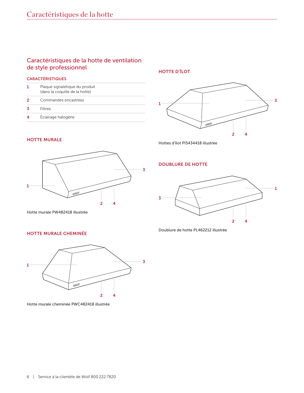# Caractéristiques de la hotte de ventilation de style professionnel

#### CARACTÉRISTIQUES

| Plaque signalétique du produit<br>(dans la coquille de la hotte) |
|------------------------------------------------------------------|
| Commandes encastrées                                             |
| Filtres                                                          |
| Éclairage halogène                                               |
|                                                                  |

HOTTE D'ÎLOT



HOTTE MURALE



Hottes d'îlot PI5434418 illustrée

# DOUBLURE DE HOTTE



Doublure de hotte PL462212 illustrée

# HOTTE MURALE CHEMINÉE

Hotte murale PW482418 illustrée



Hotte murale cheminée PWC482418 illustrée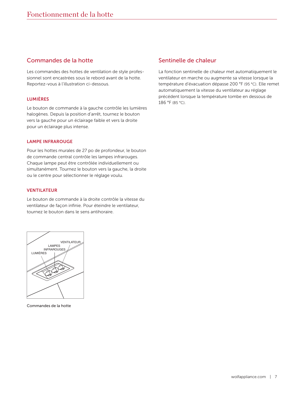# Commandes de la hotte

Les commandes des hottes de ventilation de style professionnel sont encastrées sous le rebord avant de la hotte. Reportez-vous à l'illustration ci-dessous.

#### LUMIÈRES

Le bouton de commande à la gauche contrôle les lumières halogènes. Depuis la position d'arrêt, tournez le bouton vers la gauche pour un éclairage faible et vers la droite pour un éclairage plus intense.

#### LAMPE INFRAROUGE

Pour les hottes murales de 27 po de profondeur, le bouton de commande central contrôle les lampes infrarouges. Chaque lampe peut être contrôlée individuellement ou simultanément. Tournez le bouton vers la gauche, la droite ou le centre pour sélectionner le réglage voulu.

#### VENTILATEUR

Le bouton de commande à la droite contrôle la vitesse du ventilateur de façon infinie. Pour éteindre le ventilateur, tournez le bouton dans le sens antihoraire.



Commandes de la hotte

# Sentinelle de chaleur

La fonction sentinelle de chaleur met automatiquement le ventilateur en marche ou augmente sa vitesse lorsque la température d'évacuation dépasse 200 °F (95 °C). Elle remet automatiquement la vitesse du ventilateur au réglage précédent lorsque la température tombe en dessous de 186 °F (85 °C).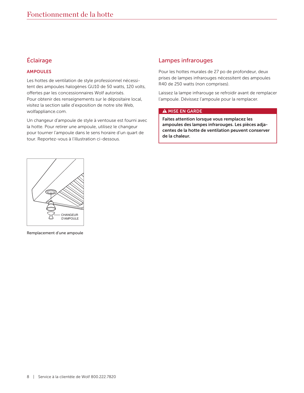# Éclairage

# AMPOULES

Les hottes de ventilation de style professionnel nécessitent des ampoules halogènes GU10 de 50 watts, 120 volts, offertes par les concessionnaires Wolf autorisés. Pour obtenir des renseignements sur le dépositaire local, visitez la section salle d'exposition de notre site Web, wolfappliance.com.

Un changeur d'ampoule de style à ventouse est fourni avec la hotte. Pour retirer une ampoule, utilisez le changeur pour tourner l'ampoule dans le sens horaire d'un quart de tour. Reportez-vous à l'illustration ci-dessous.

# Lampes infrarouges

Pour les hottes murales de 27 po de profondeur, deux prises de lampes infrarouges nécessitent des ampoules R40 de 250 watts (non comprises).

Laissez la lampe infrarouge se refroidir avant de remplacer l'ampoule. Dévissez l'ampoule pour la remplacer.

#### A MISE EN GARDE

Faites attention lorsque vous remplacez les ampoules des lampes infrarouges. Les pièces adjacentes de la hotte de ventilation peuvent conserver de la chaleur.



Remplacement d'une ampoule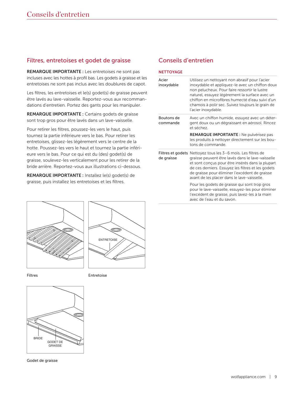# Filtres, entretoises et godet de graisse

REMARQUE IMPORTANTE : Les entretoises ne sont pas incluses avec les hottes à profil bas. Les godets à graisse et les entretoises ne sont pas inclus avec les doublures de capot.

Les filtres, les entretoises et le(s) godet(s) de graisse peuvent être lavés au lave-vaisselle. Reportez-vous aux recommandations d'entretien. Portez des gants pour les manipuler.

REMARQUE IMPORTANTE : Certains godets de graisse sont trop gros pour être lavés dans un lave-vaisselle.

Pour retirer les filtres, poussez-les vers le haut, puis tournez la partie inférieure vers le bas. Pour retirer les entretoises, glissez-les légèrement vers le centre de la hotte. Poussez-les vers le haut et tournez la partie inférieure vers le bas. Pour ce qui est du (des) godet(s) de graisse, soulevez-les verticalement pour les retirer de la bride arrière. Reportez-vous aux illustrations ci-dessous.

REMARQUE IMPORTANTE : Installez le(s) godet(s) de graisse, puis installez les entretoises et les filtres.





Filtres **Entretoise** 



Godet de graisse

# Conseils d'entretien

| <b>NETTOYAGE</b>       |                                                                                                                                                                                                                                                                                                                                    |
|------------------------|------------------------------------------------------------------------------------------------------------------------------------------------------------------------------------------------------------------------------------------------------------------------------------------------------------------------------------|
| Acier<br>inoxydable    | Utilisez un nettoyant non abrasif pour l'acier<br>inoxydable et appliquez-le avec un chiffon doux<br>non pelucheux. Pour faire ressortir le lustre<br>naturel, essuyez légèrement la surface avec un<br>chiffon en microfibres humecté d'eau suivi d'un<br>chamois à polir sec. Suivez toujours le grain de<br>l'acier inoxydable. |
| Boutons de<br>commande | Avec un chiffon humide, essuyez avec un déter-<br>gent doux ou un dégraissant en aérosol. Rincez<br>et séchez.                                                                                                                                                                                                                     |
|                        | <b>REMARQUE IMPORTANTE:</b> Ne pulvérisez pas<br>les produits à nettoyer directement sur les bou-<br>tons de commande.                                                                                                                                                                                                             |
| de graisse             | Filtres et godets Nettoyez tous les 3-6 mois. Les filtres de<br>graisse peuvent être lavés dans le lave-vaisselle<br>et sont conçus pour être insérés dans la plupart<br>de ces derniers. Essuyez les filtres et les godets<br>de graisse pour éliminer l'excédent de graisse<br>avant de les placer dans le lave-vaisselle.       |
|                        | Pour les godets de graisse qui sont trop gros<br>pour le lave-vaisselle, essuyez-les pour éliminer<br>l'excédent de graisse, puis lavez-les à la main<br>avec de l'eau et du savon                                                                                                                                                 |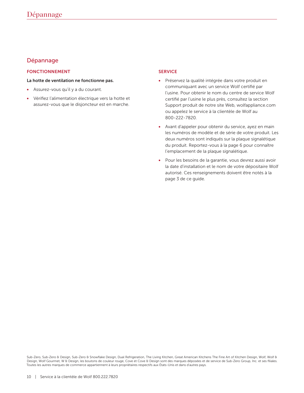# Dépannage

# FONCTIONNEMENT

#### La hotte de ventilation ne fonctionne pas.

- Assurez-vous qu'il y a du courant.
- Vérifiez l'alimentation électrique vers la hotte et assurez-vous que le disjoncteur est en marche.

# SERVICE

- Préservez la qualité intégrée dans votre produit en communiquant avec un service Wolf certifié par l'usine. Pour obtenir le nom du centre de service Wolf certifié par l'usine le plus près, consultez la section Support produit de notre site Web, wolfappliance.com ou appelez le service à la clientèle de Wolf au 800-222-7820.
- Avant d'appeler pour obtenir du service, ayez en main les numéros de modèle et de série de votre produit. Les deux numéros sont indiqués sur la plaque signalétique du produit. Reportez-vous à la page 6 pour connaître l'emplacement de la plaque signalétique.
- Pour les besoins de la garantie, vous devrez aussi avoir la date d'installation et le nom de votre dépositaire Wolf autorisé. Ces renseignements doivent être notés à la page 3 de ce guide.

Sub-Zero, Sub-Zero & Design, Sub-Zero & Snowflake Design, Dual Refrigeration, The Living Kitchen, Great American Kitchens The Fine Art of Kitchen Design, Wolf, Wolf & Design, Wolf Gourmet, W & Design, les boutons de couleur rouge, Cove et Cove & Design sont des marques déposées et de service de Sub-Zero Group, Inc. et ses filiales. Toutes les autres marques de commerce appartiennent à leurs propriétaires respectifs aux États-Unis et dans d'autres pays.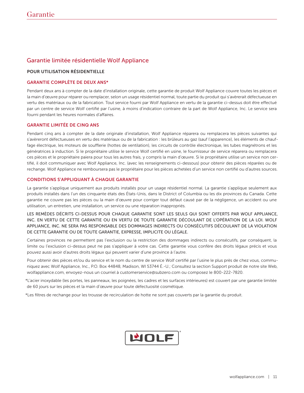# Garantie limitée résidentielle Wolf Appliance

#### POUR UTILISATION RÉSIDENTIELLE

#### GARANTIE COMPLÈTE DE DEUX ANS\*

Pendant deux ans à compter de la date d'installation originale, cette garantie de produit Wolf Appliance couvre toutes les pièces et la main d'œuvre pour réparer ou remplacer, selon un usage résidentiel normal, toute partie du produit qui s'avèrerait défectueuse en vertu des matériaux ou de la fabrication. Tout service fourni par Wolf Appliance en vertu de la garantie ci-dessus doit être effectué par un centre de service Wolf certifié par l'usine, à moins d'indication contraire de la part de Wolf Appliance, Inc. Le service sera fourni pendant les heures normales d'affaires.

#### GARANTIE LIMITÉE DE CINQ ANS

Pendant cinq ans à compter de la date originale d'installation, Wolf Appliance réparera ou remplacera les pièces suivantes qui s'avèreront défectueuses en vertu des matériaux ou de la fabrication : les brûleurs au gaz (sauf l'apparence), les éléments de chauffage électrique, les moteurs de soufflerie (hottes de ventilation), les circuits de contrôle électronique, les tubes magnétrons et les génératrices à induction. Si le propriétaire utilise le service Wolf certifié en usine, le fournisseur de service réparera ou remplacera ces pièces et le propriétaire paiera pour tous les autres frais, y compris la main d'œuvre. Si le propriétaire utilise un service non certifié, il doit communiquer avec Wolf Appliance, Inc. (avec les renseignements ci-dessous) pour obtenir des pièces réparées ou de rechange. Wolf Appliance ne remboursera pas le propriétaire pour les pièces achetées d'un service non certifié ou d'autres sources.

#### CONDITIONS S'APPLIQUANT À CHAQUE GARANTIE

La garantie s'applique uniquement aux produits installés pour un usage résidentiel normal. La garantie s'applique seulement aux produits installés dans l'un des cinquante états des États-Unis, dans le District of Columbia ou les dix provinces du Canada. Cette garantie ne couvre pas les pièces ou la main d'œuvre pour corriger tout défaut causé par de la négligence, un accident ou une utilisation, un entretien, une installation, un service ou une réparation inappropriés.

LES REMÈDES DÉCRITS CI-DESSUS POUR CHAQUE GARANTIE SONT LES SEULS QUI SONT OFFERTS PAR WOLF APPLIANCE, INC. EN VERTU DE CETTE GARANTIE OU EN VERTU DE TOUTE GARANTIE DÉCOULANT DE L'OPÉRATION DE LA LOI. WOLF APPLIANCE, INC. NE SERA PAS RESPONSABLE DES DOMMAGES INDIRECTS OU CONSÉCUTIFS DÉCOULANT DE LA VIOLATION DE CETTE GARANTIE OU DE TOUTE GARANTIE, EXPRESSE, IMPLICITE OU LÉGALE.

Certaines provinces ne permettent pas l'exclusion ou la restriction des dommages indirects ou consécutifs, par conséquent, la limite ou l'exclusion ci-dessus peut ne pas s'appliquer à votre cas. Cette garantie vous confère des droits légaux précis et vous pouvez aussi avoir d'autres droits légaux qui peuvent varier d'une province à l'autre.

Pour obtenir des pièces et/ou du service et le nom du centre de service Wolf certifié par l'usine le plus près de chez vous, communiquez avec Wolf Appliance, Inc., P.O. Box 44848, Madison, WI 53744 É.-U.; Consultez la section Support produit de notre site Web, wolfappliance.com, envoyez-nous un courriel à customerservice@subzero.com ou composez le 800-222-7820.

\*L'acier inoxydable (les portes, les panneaux, les poignées, les cadres et les surfaces intérieures) est couvert par une garantie limitée de 60 jours sur les pièces et la main d'œuvre pour toute défectuosité cosmétique.

\*Les filtres de rechange pour les trousse de recirculation de hotte ne sont pas couverts par la garantie du produit.